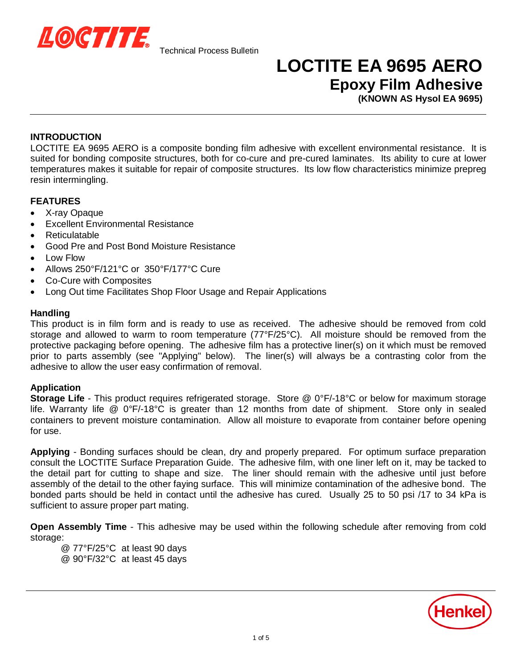

## **LOCTITE EA 9695 AERO Epoxy Film Adhesive**

**(KNOWN AS Hysol EA 9695)**

### **INTRODUCTION**

LOCTITE EA 9695 AERO is a composite bonding film adhesive with excellent environmental resistance. It is suited for bonding composite structures, both for co-cure and pre-cured laminates. Its ability to cure at lower temperatures makes it suitable for repair of composite structures. Its low flow characteristics minimize prepreg resin intermingling.

### **FEATURES**

- X-ray Opaque
- x Excellent Environmental Resistance
- x Reticulatable
- Good Pre and Post Bond Moisture Resistance
- x Low Flow
- x Allows 250°F/121°C or 350°F/177°C Cure
- Co-Cure with Composites
- Long Out time Facilitates Shop Floor Usage and Repair Applications

### **Handling**

This product is in film form and is ready to use as received. The adhesive should be removed from cold storage and allowed to warm to room temperature (77°F/25°C). All moisture should be removed from the protective packaging before opening. The adhesive film has a protective liner(s) on it which must be removed prior to parts assembly (see "Applying" below). The liner(s) will always be a contrasting color from the adhesive to allow the user easy confirmation of removal.

### **Application**

**Storage Life** - This product requires refrigerated storage. Store @ 0°F/-18°C or below for maximum storage life. Warranty life @ 0°F/-18°C is greater than 12 months from date of shipment. Store only in sealed containers to prevent moisture contamination. Allow all moisture to evaporate from container before opening for use.

**Applying** - Bonding surfaces should be clean, dry and properly prepared. For optimum surface preparation consult the LOCTITE Surface Preparation Guide. The adhesive film, with one liner left on it, may be tacked to the detail part for cutting to shape and size. The liner should remain with the adhesive until just before assembly of the detail to the other faying surface. This will minimize contamination of the adhesive bond. The bonded parts should be held in contact until the adhesive has cured. Usually 25 to 50 psi /17 to 34 kPa is sufficient to assure proper part mating.

**Open Assembly Time** - This adhesive may be used within the following schedule after removing from cold storage:

@ 77°F/25°C at least 90 days @ 90°F/32°C at least 45 days

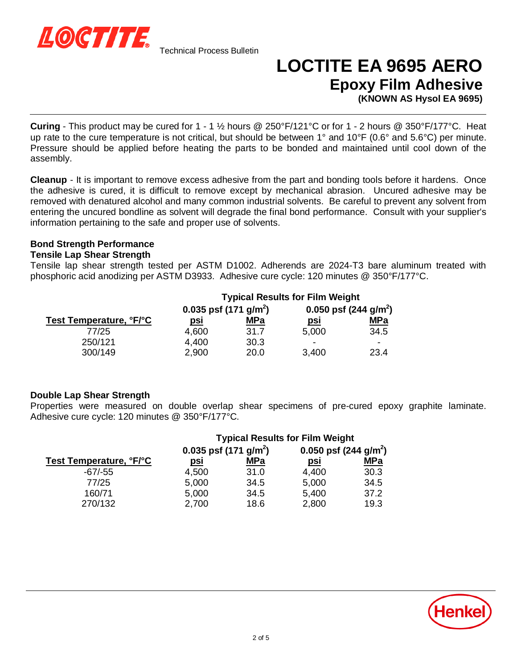

## **LOCTITE EA 9695 AERO Epoxy Film Adhesive**

**(KNOWN AS Hysol EA 9695)**

**Curing** - This product may be cured for 1 - 1 ½ hours @ 250°F/121°C or for 1 - 2 hours @ 350°F/177°C. Heat up rate to the cure temperature is not critical, but should be between 1° and 10°F (0.6° and 5.6°C) per minute. Pressure should be applied before heating the parts to be bonded and maintained until cool down of the assembly.

**Cleanup** - It is important to remove excess adhesive from the part and bonding tools before it hardens. Once the adhesive is cured, it is difficult to remove except by mechanical abrasion. Uncured adhesive may be removed with denatured alcohol and many common industrial solvents. Be careful to prevent any solvent from entering the uncured bondline as solvent will degrade the final bond performance. Consult with your supplier's information pertaining to the safe and proper use of solvents.

### **Bond Strength Performance**

### **Tensile Lap Shear Strength**

Tensile lap shear strength tested per ASTM D1002. Adherends are 2024-T3 bare aluminum treated with phosphoric acid anodizing per ASTM D3933. Adhesive cure cycle: 120 minutes @ 350°F/177°C.

|                         | <b>Typical Results for Film Weight</b> |            |                                 |            |
|-------------------------|----------------------------------------|------------|---------------------------------|------------|
|                         | 0.035 psf $(171 \text{ g/m}^2)$        |            | 0.050 psf $(244 \text{ g/m}^2)$ |            |
| Test Temperature, °F/°C | psi                                    | <b>MPa</b> | <u>psi</u>                      | <u>MPa</u> |
| 77/25                   | 4,600                                  | 31.7       | 5,000                           | 34.5       |
| 250/121                 | 4,400                                  | 30.3       | -                               | -          |
| 300/149                 | 2,900                                  | 20.0       | 3,400                           | 23.4       |

### **Double Lap Shear Strength**

Properties were measured on double overlap shear specimens of pre-cured epoxy graphite laminate. Adhesive cure cycle: 120 minutes @ 350°F/177°C.

|                         | <b>Typical Results for Film Weight</b> |            |                                 |            |
|-------------------------|----------------------------------------|------------|---------------------------------|------------|
|                         | 0.035 psf $(171 \text{ g/m}^2)$        |            | 0.050 psf $(244 \text{ g/m}^2)$ |            |
| Test Temperature, °F/°C | <u>psi</u>                             | <u>MPa</u> | <u>psi</u>                      | <u>MPa</u> |
| $-67/-55$               | 4,500                                  | 31.0       | 4,400                           | 30.3       |
| 77/25                   | 5,000                                  | 34.5       | 5,000                           | 34.5       |
| 160/71                  | 5,000                                  | 34.5       | 5,400                           | 37.2       |
| 270/132                 | 2,700                                  | 18.6       | 2,800                           | 19.3       |

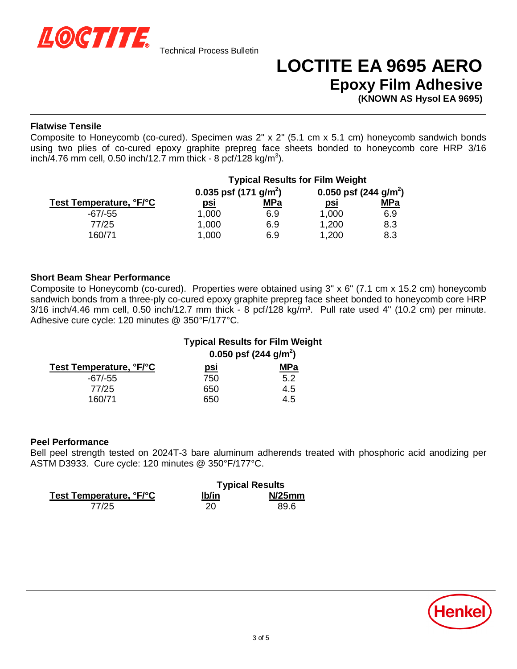

## **LOCTITE EA 9695 AERO Epoxy Film Adhesive**

**(KNOWN AS Hysol EA 9695)**

### **Flatwise Tensile**

Composite to Honeycomb (co-cured). Specimen was 2" x 2" (5.1 cm x 5.1 cm) honeycomb sandwich bonds using two plies of co-cured epoxy graphite prepreg face sheets bonded to honeycomb core HRP 3/16  $inch/4.76$  mm cell, 0.50 inch/12.7 mm thick - 8 pcf/128 kg/m<sup>3</sup>).

|                         | <b>Typical Results for Film Weight</b> |            |                                 |            |
|-------------------------|----------------------------------------|------------|---------------------------------|------------|
|                         | 0.035 psf $(171 \text{ g/m}^2)$        |            | 0.050 psf $(244 \text{ g/m}^2)$ |            |
| Test Temperature, °F/°C | <u>psi</u>                             | <b>MPa</b> | <u>psi</u>                      | <u>MPa</u> |
| $-67/-55$               | 1,000                                  | 6.9        | 1,000                           | 6.9        |
| 77/25                   | 1,000                                  | 6.9        | 1,200                           | 8.3        |
| 160/71                  | 1,000                                  | 6.9        | 1,200                           | 8.3        |

### **Short Beam Shear Performance**

Composite to Honeycomb (co-cured). Properties were obtained using 3" x 6" (7.1 cm x 15.2 cm) honeycomb sandwich bonds from a three-ply co-cured epoxy graphite prepreg face sheet bonded to honeycomb core HRP  $3/16$  inch/4.46 mm cell, 0.50 inch/12.7 mm thick - 8 pcf/128 kg/m<sup>3</sup>. Pull rate used 4" (10.2 cm) per minute. Adhesive cure cycle: 120 minutes @ 350°F/177°C.

|                         | <b>Typical Results for Film Weight</b> |            |  |
|-------------------------|----------------------------------------|------------|--|
|                         | 0.050 psf $(244 \text{ g/m}^2)$        |            |  |
| Test Temperature, °F/°C | <u>psi</u>                             | <b>MPa</b> |  |
| $-67/-55$               | 750                                    | 5.2        |  |
| 77/25                   | 650                                    | 4.5        |  |
| 160/71                  | 650                                    | 4.5        |  |

### **Peel Performance**

Bell peel strength tested on 2024T-3 bare aluminum adherends treated with phosphoric acid anodizing per ASTM D3933. Cure cycle: 120 minutes @ 350°F/177°C.

|                         | <b>Typical Results</b> |           |
|-------------------------|------------------------|-----------|
| Test Temperature, °F/°C | lb/in                  | $N/25$ mm |
| 77/25                   | 20                     | 89.6      |

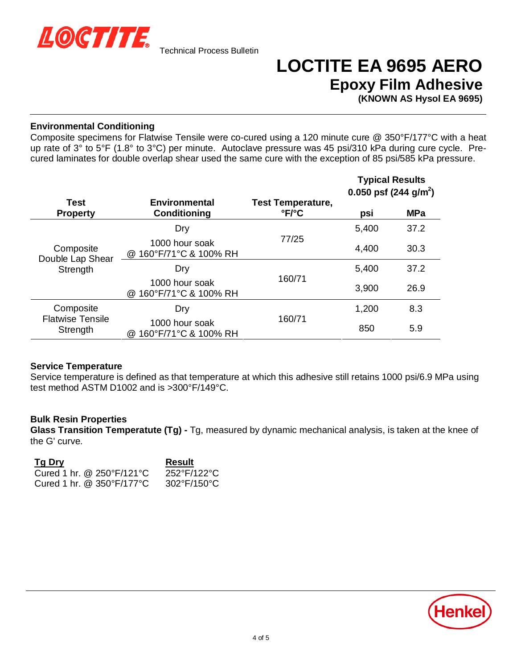

# **LOCTITE EA 9695 AERO Epoxy Film Adhesive**

**(KNOWN AS Hysol EA 9695)**

### **Environmental Conditioning**

Composite specimens for Flatwise Tensile were co-cured using a 120 minute cure @ 350°F/177°C with a heat up rate of 3° to 5°F (1.8° to 3°C) per minute. Autoclave pressure was 45 psi/310 kPa during cure cycle. Precured laminates for double overlap shear used the same cure with the exception of 85 psi/585 kPa pressure.

|                                                  |                                                    |                                                      | <b>Typical Results</b><br>0.050 psf (244 g/m <sup>2</sup> ) |            |
|--------------------------------------------------|----------------------------------------------------|------------------------------------------------------|-------------------------------------------------------------|------------|
| Test<br><b>Property</b>                          | Environmental<br><b>Conditioning</b>               | <b>Test Temperature,</b><br>$\degree$ F/ $\degree$ C | psi                                                         | <b>MPa</b> |
| Composite<br>Double Lap Shear<br>Strength        | Dry                                                |                                                      | 5,400                                                       | 37.2       |
|                                                  | 1000 hour soak<br>@ 160°F/71°C & 100% RH           | 77/25                                                | 4,400                                                       | 30.3       |
|                                                  | Dry                                                |                                                      | 5,400                                                       | 37.2       |
|                                                  | 1000 hour soak<br>160°F/71°C & 100% RH<br>$\omega$ | 160/71                                               | 3,900                                                       | 26.9       |
| Composite<br><b>Flatwise Tensile</b><br>Strength | Dry                                                |                                                      | 1,200                                                       | 8.3        |
|                                                  | 1000 hour soak<br>160°F/71°C & 100% RH<br>$\omega$ | 160/71                                               | 850                                                         | 5.9        |

### **Service Temperature**

Service temperature is defined as that temperature at which this adhesive still retains 1000 psi/6.9 MPa using test method ASTM D1002 and is >300°F/149°C.

### **Bulk Resin Properties**

**Glass Transition Temperatute (Tg) -** Tg, measured by dynamic mechanical analysis, is taken at the knee of the G' curve.

| Tg Dry                                          | Result      |
|-------------------------------------------------|-------------|
| Cured 1 hr. $@$ 250 $\degree$ F/121 $\degree$ C | 252°F/122°C |
| Cured 1 hr. $@$ 350°F/177°C                     | 302°F/150°C |